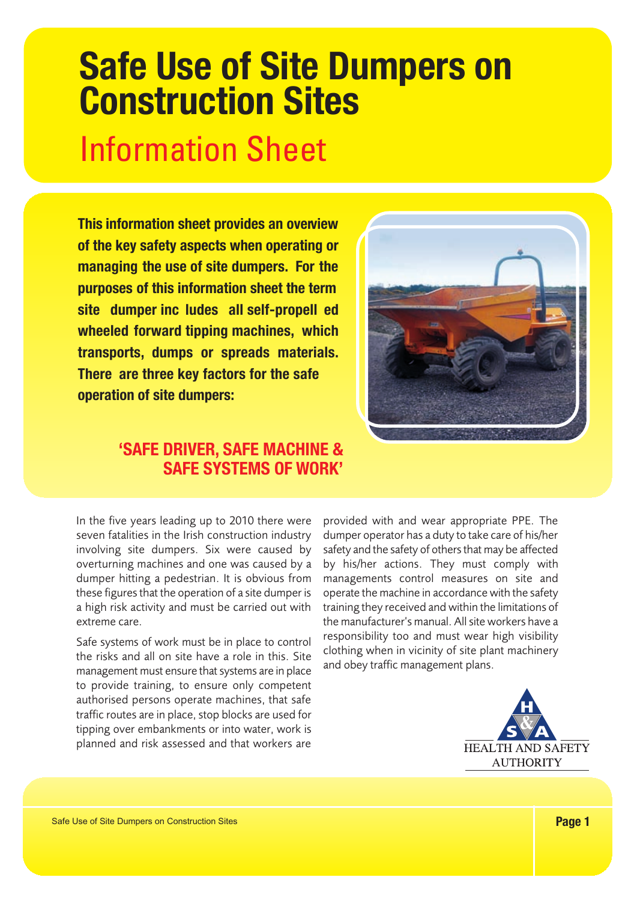# **Safe Use of Site Dumpers on Construction Sites** Information Sheet

**This information sheet provides an overview of the key safety aspects when operating or managing the use of site dumpers. For the purposes of this information sheet the term site dumper inc ludes all self-propell ed wheeled forward tipping machines, which transports, dumps or spreads materials. There are three key factors for the safe operation of site dumpers:**



# **'SAFE DRIVER, SAFE MACHINE & SAFE SYSTEMS OF WORK'**

In the five years leading up to 2010 there were seven fatalities in the Irish construction industry involving site dumpers. Six were caused by overturning machines and one was caused by a dumper hitting a pedestrian. It is obvious from these figures that the operation of a site dumper is a high risk activity and must be carried out with extreme care.

Safe systems of work must be in place to control the risks and all on site have a role in this. Site management must ensure that systems are in place to provide training, to ensure only competent authorised persons operate machines, that safe traffic routes are in place, stop blocks are used for tipping over embankments or into water, work is planned and risk assessed and that workers are

provided with and wear appropriate PPE. The dumper operator has a duty to take care of his/her safety and the safety of others that may be affected by his/her actions. They must comply with managements control measures on site and operate the machine in accordance with the safety training they received and within the limitations of the manufacturer's manual. All site workers have a responsibility too and must wear high visibility clothing when in vicinity of site plant machinery and obey traffic management plans.

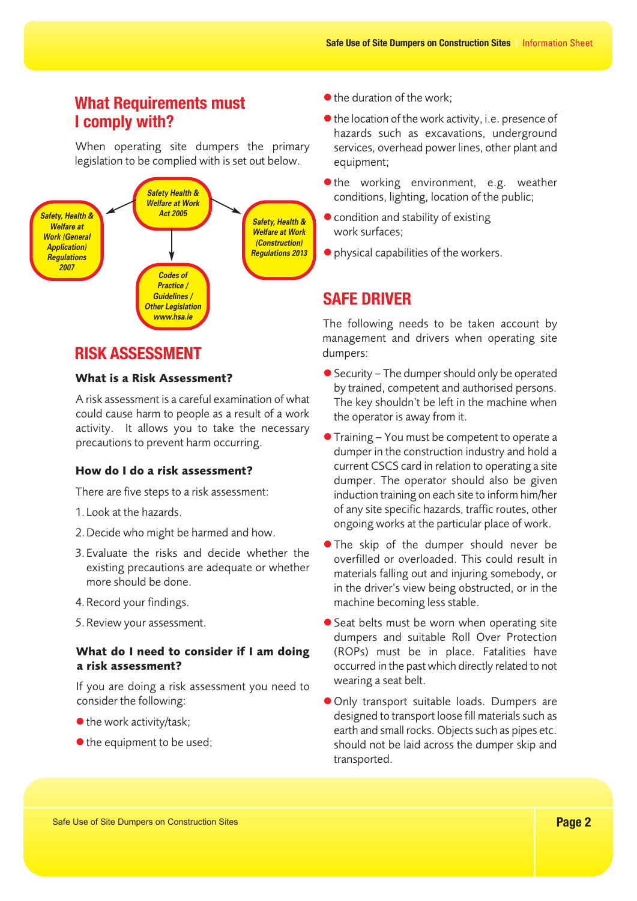# **What Requirements must I comply with?**

When operating site dumpers the primary legislation to be complied with is set out below.



# **RISK ASSESSMENT**

#### What is a Risk Assessment?

A risk assessment is a careful examination of what could cause harm to people as a result of a work activity. It allows you to take the necessary precautions to prevent harm occurring.

#### How do I do a risk assessment?

There are five steps to a risk assessment:

- 1. Look at the hazards.
- 2. Decide who might be harmed and how.
- 3. Evaluate the risks and decide whether the existing precautions are adequate or whether more should be done.
- 4. Record your findings.
- 5. Review your assessment.

#### What do I need to consider if I am doing a risk assessment?

If you are doing a risk assessment you need to consider the following:

- the work activity/task;
- $\bullet$  the equipment to be used;
- $\bullet$  the duration of the work;
- $\bullet$  the location of the work activity, i.e. presence of hazards such as excavations, underground services, overhead power lines, other plant and equipment;
- $\bullet$  the working environment, e.g. weather conditions, lighting, location of the public;
- $\bullet$  condition and stability of existing work surfaces;
- -physical capabilities of the workers.

# **SAFE DRIVER**

The following needs to be taken account by management and drivers when operating site dumpers:

- -Security The dumper should only be operated by trained, competent and authorised persons. The key shouldn't be left in the machine when the operator is away from it.
- -Training You must be competent to operate a dumper in the construction industry and hold a current CSCS card in relation to operating a site dumper. The operator should also be given induction training on each site to inform him/her of any site specific hazards, traffic routes, other ongoing works at the particular place of work.
- **.** The skip of the dumper should never be overfilled or overloaded. This could result in materials falling out and injuring somebody, or in the driver's view being obstructed, or in the machine becoming less stable.
- **•** Seat belts must be worn when operating site dumpers and suitable Roll Over Protection (ROPs) must be in place. Fatalities have occurred in the past which directly related to not wearing a seat belt.
- -Only transport suitable loads. Dumpers are designed to transport loose fill materials such as earth and small rocks. Objects such as pipes etc. should not be laid across the dumper skip and transported.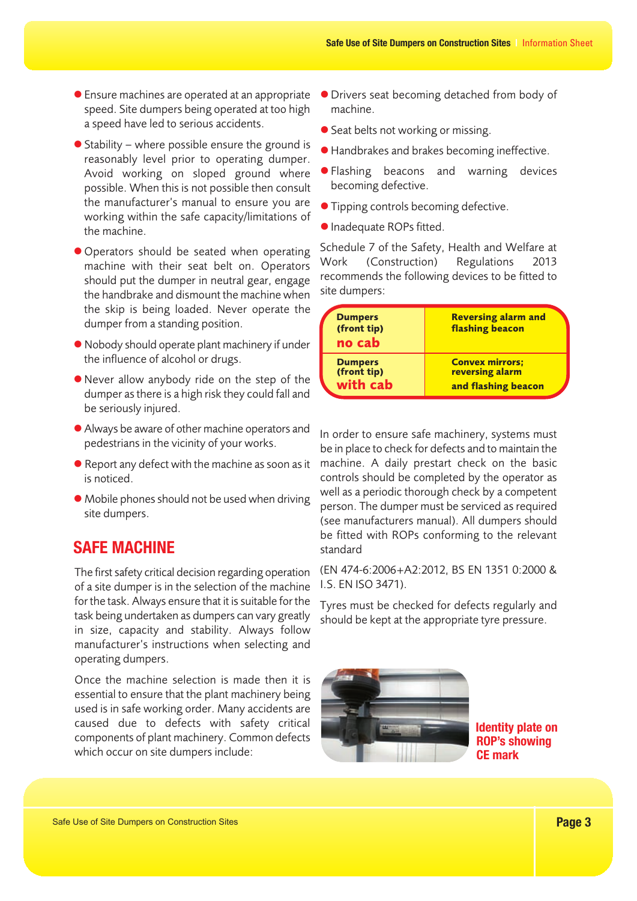- -Ensure machines are operated at an appropriate speed. Site dumpers being operated at too high a speed have led to serious accidents.
- Stability where possible ensure the ground is reasonably level prior to operating dumper. Avoid working on sloped ground where possible. When this is not possible then consult the manufacturer's manual to ensure you are working within the safe capacity/limitations of the machine.
- -Operators should be seated when operating machine with their seat belt on. Operators should put the dumper in neutral gear, engage the handbrake and dismount the machine when the skip is being loaded. Never operate the dumper from a standing position.
- Nobody should operate plant machinery if under the influence of alcohol or drugs.
- -Never allow anybody ride on the step of the dumper as there is a high risk they could fall and be seriously injured.
- -Always be aware of other machine operators and pedestrians in the vicinity of your works.
- Report any defect with the machine as soon as it is noticed.
- $\bullet$  Mobile phones should not be used when driving site dumpers.

# **SAFE MACHINE**

The first safety critical decision regarding operation of a site dumper is in the selection of the machine for the task. Always ensure that it is suitable for the task being undertaken as dumpers can vary greatly in size, capacity and stability. Always follow manufacturer's instructions when selecting and operating dumpers.

Once the machine selection is made then it is essential to ensure that the plant machinery being used is in safe working order. Many accidents are caused due to defects with safety critical components of plant machinery. Common defects which occur on site dumpers include:

- -Drivers seat becoming detached from body of machine.
- **•** Seat belts not working or missing.
- -Handbrakes and brakes becoming ineffective.
- -Flashing beacons and warning devices becoming defective.
- **· Tipping controls becoming defective.**
- -Inadequate ROPs fitted.

Schedule 7 of the Safety, Health and Welfare at Work (Construction) Regulations 2013 recommends the following devices to be fitted to site dumpers:

| <b>Dumpers</b><br>(front tip)<br>no cab   | <b>Reversing alarm and</b><br><b>flashing beacon</b>             |
|-------------------------------------------|------------------------------------------------------------------|
| <b>Dumpers</b><br>(front tip)<br>with cab | <b>Convex mirrors;</b><br>reversing alarm<br>and flashing beacon |

In order to ensure safe machinery, systems must be in place to check for defects and to maintain the machine. A daily prestart check on the basic controls should be completed by the operator as well as a periodic thorough check by a competent person. The dumper must be serviced as required (see manufacturers manual). All dumpers should be fitted with ROPs conforming to the relevant standard

(EN 474-6:2006+A2:2012, BS EN 1351 0:2000 & I.S. EN ISO 3471).

Tyres must be checked for defects regularly and should be kept at the appropriate tyre pressure.



**Identity plate on ROP's showing CE mark**